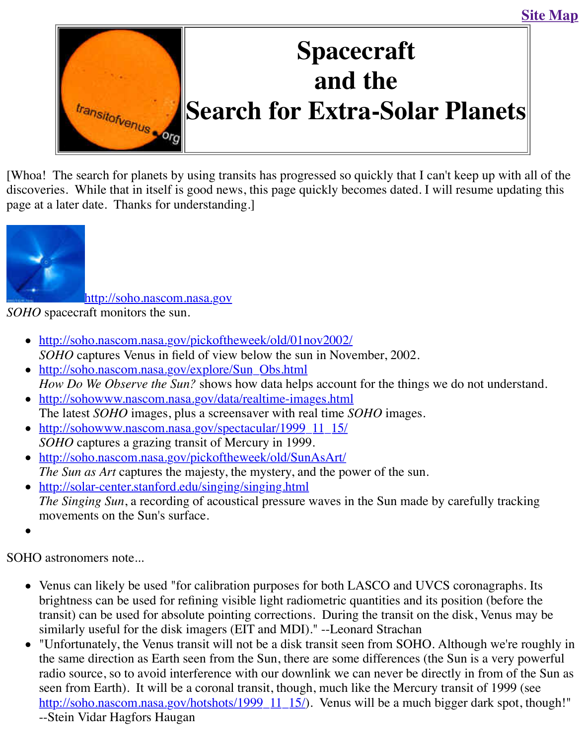

[Whoa! [The search for planets by](http://old.transitofvenus.org/index.htm) using transits has progressed so quickly that I can't keep up discoveries. While that in itself is good news, this page quickly becomes dated. I will resume page at a later date. Thanks for understanding.]



http://soho.nascom.nasa.gov

*SOHO* spacecraft monitors the sun.

- [http://soho.nascom.nasa.gov/pickofth](http://soho.nascom.nasa.gov/)eweek/old/01nov2002/ *SOHO* captures Venus in field of view below the sun in November, 2002.
- http://soho.nascom.nasa.gov/explore/Sun\_Obs.html *How Do We Observe the Sun?* shows how data helps account for the things we do not under
- http://sohowww.nascom.nasa.gov/data/realtime-images.html The latest *SOHO* images, plus a screensaver with real time *SOHO* images.
- http://sohowww.nascom.nasa.gov/spectacular/1999\_11\_15/ *SOHO* [captures a grazing transit of Mercury in 1999.](http://soho.nascom.nasa.gov/pickoftheweek/old/01nov2002/)
- http://soho.nascom.nasa.gov/pickoftheweek/old/SunAsArt/ *The Sun as Art* [captures the majesty, the mystery, an](http://soho.nascom.nasa.gov/explore/Sun_Obs.html)d the power of the sun.
- http://solar-center.stanford.edu/singing/singing.html *The Singing Sun*[, a recording of acoustical pressure waves in](http://sohowww.nascom.nasa.gov/data/realtime-images.html) the Sun made by carefully [movements on the Sun](http://sohowww.nascom.nasa.gov/spectacular/1999_11_15/)'[s surface.](http://sohowww.nascom.nasa.gov/spectacular/1999_11_15/)

SOH[O astronomers note...](http://soho.nascom.nasa.gov/pickoftheweek/old/SunAsArt/) 

- [Venus can likely be used "for calibration purposes fo](http://solar-center.stanford.edu/singing/singing.html)r both LASCO and UVCS coronagi brightness can be used for refining visible light radiometric quantities and its position (b transit) can be used for absolute pointing corrections. During the transit on the disk, Ven similarly useful for the disk imagers (EIT and MDI)." --Leonard Strachan
- "Unfortunately, the Venus transit will not be a disk transit seen from SOHO. Although w the same direction as Earth seen from the Sun, there are some differences (the Sun is a v radio source, so to avoid interference with our downlink we can never be directly in from seen from Earth). It will be a coronal transit, though, much like the Mercury transit of 1 http://soho.nascom.nasa.gov/hotshots/1999\_11\_15/). Venus will be a much bigger dark --Stein Vidar Hagfors Haugan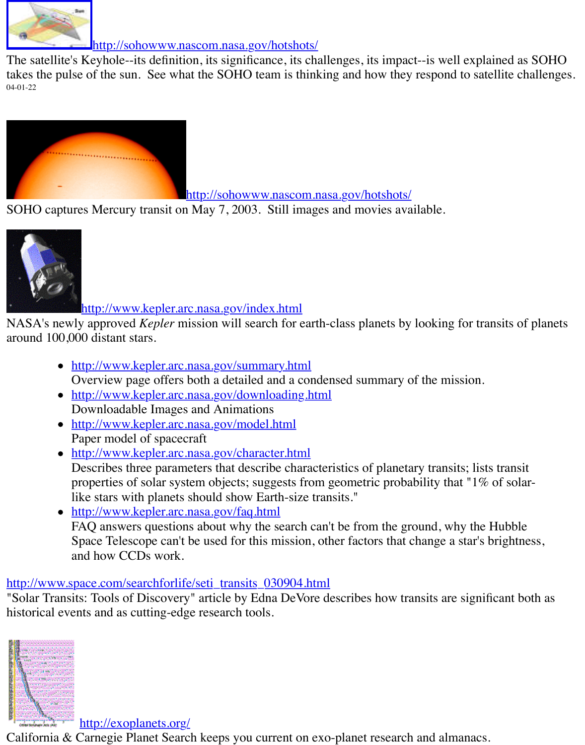

http://sohowww.nascom.nasa.gov/hotshots/

SOHO captures Mercury transit on May 7, 2003. Still images and movies available.



## [http://www.kepler.arc.nasa.gov/index.html](http://sohowww.nascom.nasa.gov/hotshots/)

NASA's newly approved *Kepler* mission will search for earth-class planets by looking for tran around 100,000 distant stars.

- [http://www.kepler.arc.nasa.gov/summary.htm](http://www.kepler.arc.nasa.gov/index.html)l Overview page offers both a detailed and a condensed summary of the mission.
- http://www.kepler.arc.nasa.gov/downloading.html Downloadable Images and Animations
- http://www.kepler.arc.nasa.gov/model.html Paper model of spacecraft
- http://www.kepler.arc.nasa.gov/character.html [Describes three parameters that describe chara](http://www.kepler.arc.nasa.gov/summary.html)cteristics of planetary transits; lists properties of solar system objects; suggests from geometric probability that " $1\%$  c [like stars with planets should show Earth-size tran](http://www.kepler.arc.nasa.gov/downloading.html)sits."
- http://www.kepler.arc.nasa.gov/faq.html [FAQ answers questions about why the searc](http://www.kepler.arc.nasa.gov/model.html)h can't be from the ground, why the H Space Telescope can't be used for this mission, other factors that change a star's bi [and how CCDs work.](http://www.kepler.arc.nasa.gov/character.html)

## http://www.space.com/searchforlife/seti\_transits\_030904.html

"Solar Transits: Tools of Discovery" article by Edna DeVore describes how transits are signific historical ev[ents and as cutting-edge research tools.](http://www.kepler.arc.nasa.gov/faq.html)



http://exoplanets.org/

[California & Carnegie Planet Search](http://exoplanets.org/) keeps you current on exo-planet research and almanacs.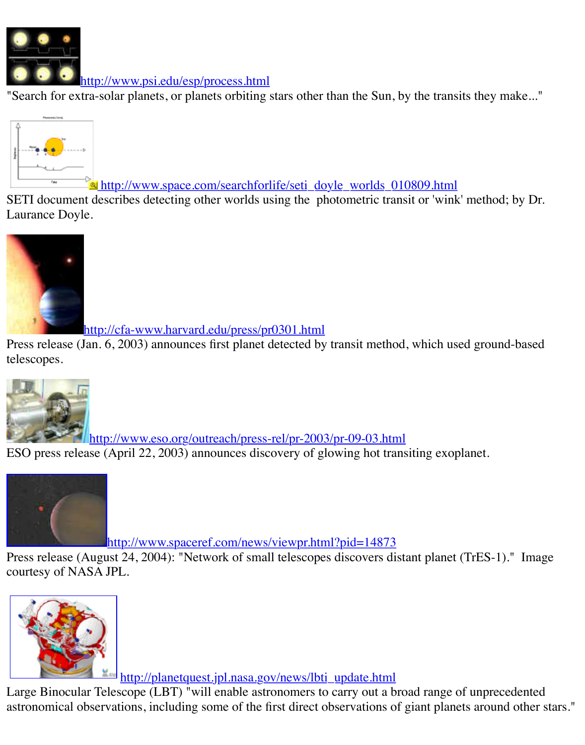

**s [http://www.space.com/searchforl](http://www.psi.edu/esp/process.html)ife/seti\_doyle\_worlds\_010809.html** 

 $\blacksquare$  search for extra-solar planets or planets or planets or planets than the transits theorem than the transits theorem is the transit than the transit theorem is the transit theorem in the transit theorem is the trans

SETI document describes detecting other worlds using the photometric transit or 'wink' method [Laurance Doyle.](http://www.seti.org/image/photometric_transit.gif)



http://cfa-www.harvard.edu/press/pr0301.html

[Press release \(J](http://cfa-www.harvard.edu/press/pr0301_image.html)an. 6, 2003) announces first planet detected by transit method, which used grou telescopes.



[http://www.eso.org/outreach/press-rel/pr-2003](http://cfa-www.harvard.edu/press/pr0301.html)/pr-09-03.html ESO press release (April 22, 2003) announces discovery of glowing hot transiting exoplanet.



[http://www.spaceref.com/news/viewpr.html?pid=14873](http://www.eso.org/outreach/press-rel/pr-2003/pr-09-03.html)

Press release (August 24, 2004): "Network of small telescopes discovers distant planet (TrES[courtesy of NASA JPL.](http://www.spaceref.com/news/viewpr.html?pid=14873)



<u>http://planetquest.jpl.nasa.gov/news/lbti\_update.html</u>

Large Binocular Telescope (LBT) "will enable astronomers to carry out a broad range of unpre [astronomical observations, including some of the first direct observations o](http://planetquest.jpl.nasa.gov/news/lbti_update.html)f giant planets arou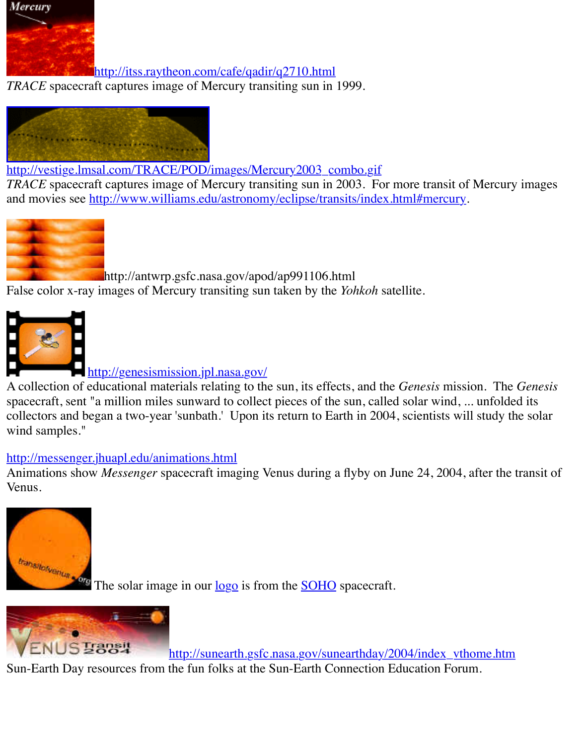

[http://vestige.lmsal.com/TRACE/POD/images/Mercury2003\\_co](http://itss.raytheon.com/cafe/qadir/q2710.html)mbo.gif

*TRACE* spacecraft captures image of Mercury transiting sun in 2003. For more transit of Mercury and movies see http://www.williams.edu/astronomy/eclipse/transits/index.html#mercury.



[http://antwrp.gsfc.nasa.gov/apod/ap991106.html](http://vestige.lmsal.com/TRACE/POD/images/Mercury2003_combo.gif) False color x-ra[y images of Mercury transiting sun taken by the](http://www.williams.edu/astronomy/eclipse/transits/index.html#mercury) *Yohkoh* satellite.



http://genesismission.jpl.nasa.gov/

[A collection of edu](http://antwrp.gsfc.nasa.gov/apod/image/9807/merctransit_yohkoh_big.gif)cational materials relating to the sun, its effects, and the *Genesis* mission. The *Genesis* spacecraft, sent "a million miles sunward to collect pieces of the sun, called solar wind, ... unfor collectors and began a two-year 'sunbath.' Upon its return to Earth in 2004, scientists will stud [wind samples."](http://genesismission.jpl.nasa.gov/)

## http://messenger.jhuapl.edu/animations.html

Animations show *Messenger* [spacecraft imaging V](http://genesismission.jpl.nasa.gov/)enus during a flyby on June 24, 2004, after Venus.



The solar image in our <u>logo</u> is from the **SOHO** spacecraft.

S<sup>T</sup>ansi

http://sunearth.gsfc.nasa.gov/sunearthday/2004/index\_vthome. Sun-Earth Day resources from the fun folks at the Sun-Earth Connection Education Forum.